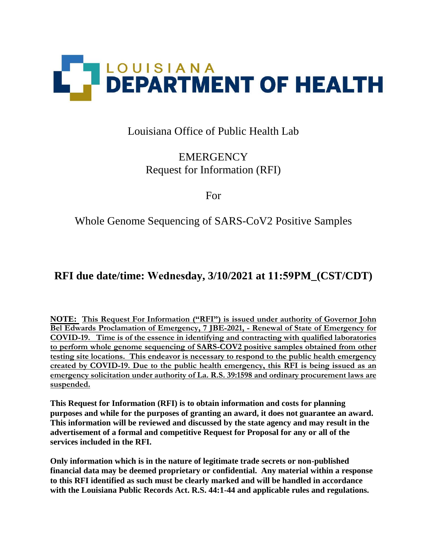

## Louisiana Office of Public Health Lab

# **EMERGENCY** Request for Information (RFI)

For

## Whole Genome Sequencing of SARS-CoV2 Positive Samples

# **RFI due date/time: Wednesday, 3/10/2021 at 11:59PM\_(CST/CDT)**

**NOTE: This Request For Information ("RFI") is issued under authority of Governor John Bel Edwards Proclamation of Emergency, 7 JBE-2021, - Renewal of State of Emergency for COVID-19. Time is of the essence in identifying and contracting with qualified laboratories to perform whole genome sequencing of SARS-COV2 positive samples obtained from other testing site locations. This endeavor is necessary to respond to the public health emergency created by COVID-19. Due to the public health emergency, this RFI is being issued as an emergency solicitation under authority of La. R.S. 39:1598 and ordinary procurement laws are suspended.** 

**This Request for Information (RFI) is to obtain information and costs for planning purposes and while for the purposes of granting an award, it does not guarantee an award. This information will be reviewed and discussed by the state agency and may result in the advertisement of a formal and competitive Request for Proposal for any or all of the services included in the RFI.** 

**Only information which is in the nature of legitimate trade secrets or non-published financial data may be deemed proprietary or confidential. Any material within a response to this RFI identified as such must be clearly marked and will be handled in accordance with the Louisiana Public Records Act. R.S. 44:1-44 and applicable rules and regulations.**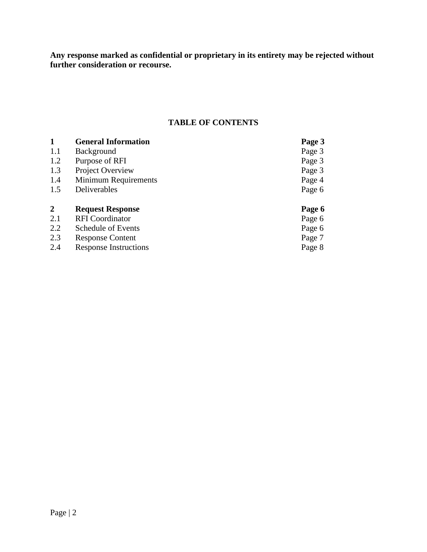**Any response marked as confidential or proprietary in its entirety may be rejected without further consideration or recourse.**

#### **TABLE OF CONTENTS**

| 1            | <b>General Information</b>   | Page 3 |
|--------------|------------------------------|--------|
| 1.1          | <b>Background</b>            | Page 3 |
| 1.2          | Purpose of RFI               | Page 3 |
| 1.3          | Project Overview             | Page 3 |
| 1.4          | <b>Minimum Requirements</b>  | Page 4 |
| 1.5          | Deliverables                 | Page 6 |
| $\mathbf{2}$ | <b>Request Response</b>      | Page 6 |
| 2.1          | <b>RFI</b> Coordinator       | Page 6 |
| 2.2          | Schedule of Events           | Page 6 |
| 2.3          | <b>Response Content</b>      | Page 7 |
| 2.4          | <b>Response Instructions</b> | Page 8 |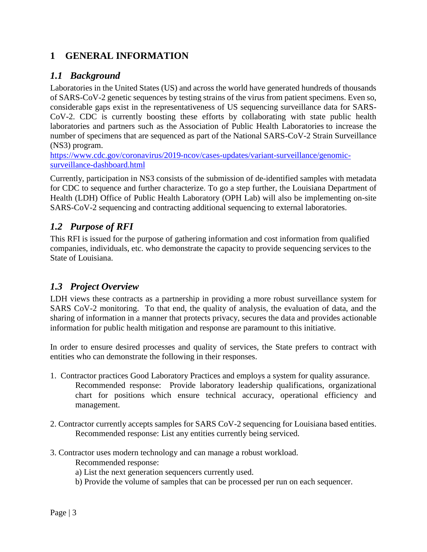### **1 GENERAL INFORMATION**

### *1.1 Background*

Laboratories in the United States (US) and across the world have generated hundreds of thousands of SARS-CoV-2 genetic sequences by testing strains of the virus from patient specimens. Even so, considerable gaps exist in the representativeness of US sequencing surveillance data for SARS-CoV-2. CDC is currently boosting these efforts by collaborating with state public health laboratories and partners such as the Association of Public Health Laboratories to increase the number of specimens that are sequenced as part of the National SARS-CoV-2 Strain Surveillance (NS3) program.

[https://www.cdc.gov/coronavirus/2019-ncov/cases-updates/variant-surveillance/genomic](https://www.cdc.gov/coronavirus/2019-ncov/cases-updates/variant-surveillance/genomic-surveillance-dashboard.html)[surveillance-dashboard.html](https://www.cdc.gov/coronavirus/2019-ncov/cases-updates/variant-surveillance/genomic-surveillance-dashboard.html)

Currently, participation in NS3 consists of the submission of de-identified samples with metadata for CDC to sequence and further characterize. To go a step further, the Louisiana Department of Health (LDH) Office of Public Health Laboratory (OPH Lab) will also be implementing on-site SARS-CoV-2 sequencing and contracting additional sequencing to external laboratories.

### *1.2 Purpose of RFI*

This RFI is issued for the purpose of gathering information and cost information from qualified companies, individuals, etc. who demonstrate the capacity to provide sequencing services to the State of Louisiana.

### *1.3 Project Overview*

LDH views these contracts as a partnership in providing a more robust surveillance system for SARS CoV-2 monitoring. To that end, the quality of analysis, the evaluation of data, and the sharing of information in a manner that protects privacy, secures the data and provides actionable information for public health mitigation and response are paramount to this initiative.

In order to ensure desired processes and quality of services, the State prefers to contract with entities who can demonstrate the following in their responses.

- 1. Contractor practices Good Laboratory Practices and employs a system for quality assurance. Recommended response: Provide laboratory leadership qualifications, organizational chart for positions which ensure technical accuracy, operational efficiency and management.
- 2. Contractor currently accepts samples for SARS CoV-2 sequencing for Louisiana based entities. Recommended response: List any entities currently being serviced.
- 3. Contractor uses modern technology and can manage a robust workload. Recommended response:
	- a) List the next generation sequencers currently used.
	- b) Provide the volume of samples that can be processed per run on each sequencer.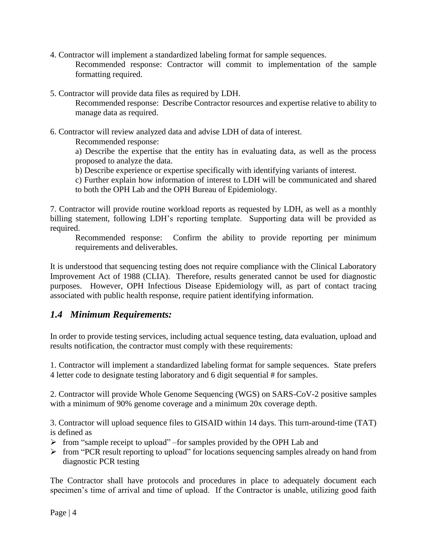- 4. Contractor will implement a standardized labeling format for sample sequences. Recommended response: Contractor will commit to implementation of the sample formatting required.
- 5. Contractor will provide data files as required by LDH.

Recommended response: Describe Contractor resources and expertise relative to ability to manage data as required.

6. Contractor will review analyzed data and advise LDH of data of interest.

Recommended response:

a) Describe the expertise that the entity has in evaluating data, as well as the process proposed to analyze the data.

b) Describe experience or expertise specifically with identifying variants of interest.

c) Further explain how information of interest to LDH will be communicated and shared to both the OPH Lab and the OPH Bureau of Epidemiology.

7. Contractor will provide routine workload reports as requested by LDH, as well as a monthly billing statement, following LDH's reporting template. Supporting data will be provided as required.

Recommended response: Confirm the ability to provide reporting per minimum requirements and deliverables.

It is understood that sequencing testing does not require compliance with the Clinical Laboratory Improvement Act of 1988 (CLIA). Therefore, results generated cannot be used for diagnostic purposes. However, OPH Infectious Disease Epidemiology will, as part of contact tracing associated with public health response, require patient identifying information.

### *1.4 Minimum Requirements:*

In order to provide testing services, including actual sequence testing, data evaluation, upload and results notification, the contractor must comply with these requirements:

1. Contractor will implement a standardized labeling format for sample sequences. State prefers 4 letter code to designate testing laboratory and 6 digit sequential # for samples.

2. Contractor will provide Whole Genome Sequencing (WGS) on SARS-CoV-2 positive samples with a minimum of 90% genome coverage and a minimum 20x coverage depth.

3. Contractor will upload sequence files to GISAID within 14 days. This turn-around-time (TAT) is defined as

- $\triangleright$  from "sample receipt to upload" –for samples provided by the OPH Lab and
- $\triangleright$  from "PCR result reporting to upload" for locations sequencing samples already on hand from diagnostic PCR testing

The Contractor shall have protocols and procedures in place to adequately document each specimen's time of arrival and time of upload. If the Contractor is unable, utilizing good faith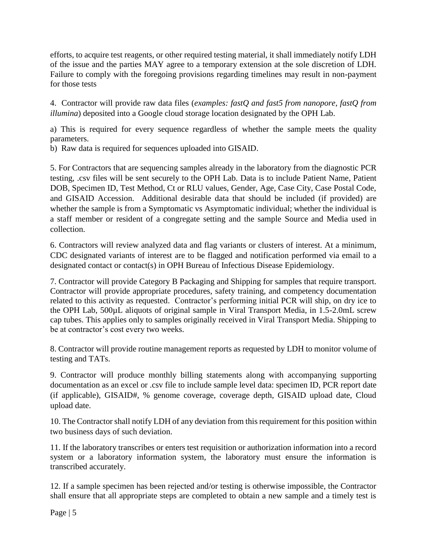efforts, to acquire test reagents, or other required testing material, it shall immediately notify LDH of the issue and the parties MAY agree to a temporary extension at the sole discretion of LDH. Failure to comply with the foregoing provisions regarding timelines may result in non-payment for those tests

4. Contractor will provide raw data files (*examples: fastQ and fast5 from nanopore, fastQ from illumina*) deposited into a Google cloud storage location designated by the OPH Lab.

a) This is required for every sequence regardless of whether the sample meets the quality parameters.

b) Raw data is required for sequences uploaded into GISAID.

5. For Contractors that are sequencing samples already in the laboratory from the diagnostic PCR testing, .csv files will be sent securely to the OPH Lab. Data is to include Patient Name, Patient DOB, Specimen ID, Test Method, Ct or RLU values, Gender, Age, Case City, Case Postal Code, and GISAID Accession. Additional desirable data that should be included (if provided) are whether the sample is from a Symptomatic vs Asymptomatic individual; whether the individual is a staff member or resident of a congregate setting and the sample Source and Media used in collection.

6. Contractors will review analyzed data and flag variants or clusters of interest. At a minimum, CDC designated variants of interest are to be flagged and notification performed via email to a designated contact or contact(s) in OPH Bureau of Infectious Disease Epidemiology.

7. Contractor will provide Category B Packaging and Shipping for samples that require transport. Contractor will provide appropriate procedures, safety training, and competency documentation related to this activity as requested. Contractor's performing initial PCR will ship, on dry ice to the OPH Lab, 500µL aliquots of original sample in Viral Transport Media, in 1.5-2.0mL screw cap tubes. This applies only to samples originally received in Viral Transport Media. Shipping to be at contractor's cost every two weeks.

8. Contractor will provide routine management reports as requested by LDH to monitor volume of testing and TATs.

9. Contractor will produce monthly billing statements along with accompanying supporting documentation as an excel or .csv file to include sample level data: specimen ID, PCR report date (if applicable), GISAID#, % genome coverage, coverage depth, GISAID upload date, Cloud upload date.

10. The Contractor shall notify LDH of any deviation from this requirement for this position within two business days of such deviation.

11. If the laboratory transcribes or enters test requisition or authorization information into a record system or a laboratory information system, the laboratory must ensure the information is transcribed accurately.

12. If a sample specimen has been rejected and/or testing is otherwise impossible, the Contractor shall ensure that all appropriate steps are completed to obtain a new sample and a timely test is

Page | 5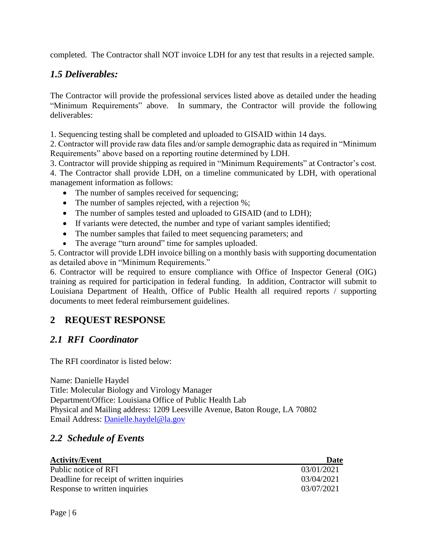completed. The Contractor shall NOT invoice LDH for any test that results in a rejected sample.

## *1.5 Deliverables:*

The Contractor will provide the professional services listed above as detailed under the heading "Minimum Requirements" above. In summary, the Contractor will provide the following deliverables:

1. Sequencing testing shall be completed and uploaded to GISAID within 14 days.

2. Contractor will provide raw data files and/or sample demographic data as required in "Minimum Requirements" above based on a reporting routine determined by LDH.

3. Contractor will provide shipping as required in "Minimum Requirements" at Contractor's cost. 4. The Contractor shall provide LDH, on a timeline communicated by LDH, with operational management information as follows:

- The number of samples received for sequencing;
- The number of samples rejected, with a rejection %;
- The number of samples tested and uploaded to GISAID (and to LDH);
- If variants were detected, the number and type of variant samples identified;
- The number samples that failed to meet sequencing parameters; and
- The average "turn around" time for samples uploaded.

5. Contractor will provide LDH invoice billing on a monthly basis with supporting documentation as detailed above in "Minimum Requirements."

6. Contractor will be required to ensure compliance with Office of Inspector General (OIG) training as required for participation in federal funding. In addition, Contractor will submit to Louisiana Department of Health, Office of Public Health all required reports / supporting documents to meet federal reimbursement guidelines.

### **2 REQUEST RESPONSE**

### *2.1 RFI Coordinator*

The RFI coordinator is listed below:

Name: Danielle Haydel Title: Molecular Biology and Virology Manager Department/Office: Louisiana Office of Public Health Lab Physical and Mailing address: 1209 Leesville Avenue, Baton Rouge, LA 70802 Email Address: [Danielle.haydel@la.gov](mailto:Danielle.haydel@la.gov)

### *2.2 Schedule of Events*

| <b>Activity/Event</b>                     | Date       |
|-------------------------------------------|------------|
| Public notice of RFI                      | 03/01/2021 |
| Deadline for receipt of written inquiries | 03/04/2021 |
| Response to written inquiries             | 03/07/2021 |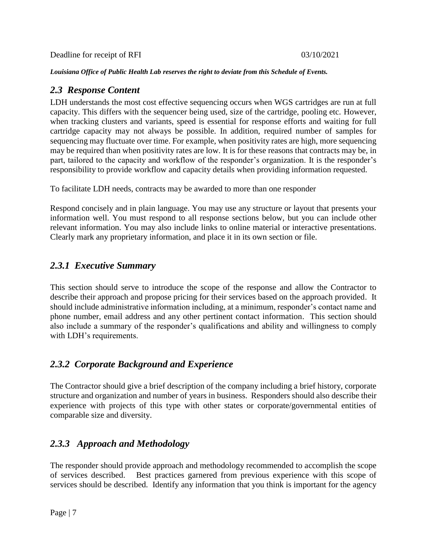Deadline for receipt of RFI 03/10/2021

*Louisiana Office of Public Health Lab reserves the right to deviate from this Schedule of Events.*

#### *2.3 Response Content*

LDH understands the most cost effective sequencing occurs when WGS cartridges are run at full capacity. This differs with the sequencer being used, size of the cartridge, pooling etc. However, when tracking clusters and variants, speed is essential for response efforts and waiting for full cartridge capacity may not always be possible. In addition, required number of samples for sequencing may fluctuate over time. For example, when positivity rates are high, more sequencing may be required than when positivity rates are low. It is for these reasons that contracts may be, in part, tailored to the capacity and workflow of the responder's organization. It is the responder's responsibility to provide workflow and capacity details when providing information requested.

To facilitate LDH needs, contracts may be awarded to more than one responder

Respond concisely and in plain language. You may use any structure or layout that presents your information well. You must respond to all response sections below, but you can include other relevant information. You may also include links to online material or interactive presentations. Clearly mark any proprietary information, and place it in its own section or file.

### *2.3.1 Executive Summary*

This section should serve to introduce the scope of the response and allow the Contractor to describe their approach and propose pricing for their services based on the approach provided. It should include administrative information including, at a minimum, responder's contact name and phone number, email address and any other pertinent contact information. This section should also include a summary of the responder's qualifications and ability and willingness to comply with LDH's requirements.

### *2.3.2 Corporate Background and Experience*

The Contractor should give a brief description of the company including a brief history, corporate structure and organization and number of years in business. Responders should also describe their experience with projects of this type with other states or corporate/governmental entities of comparable size and diversity.

### *2.3.3 Approach and Methodology*

The responder should provide approach and methodology recommended to accomplish the scope of services described. Best practices garnered from previous experience with this scope of services should be described. Identify any information that you think is important for the agency